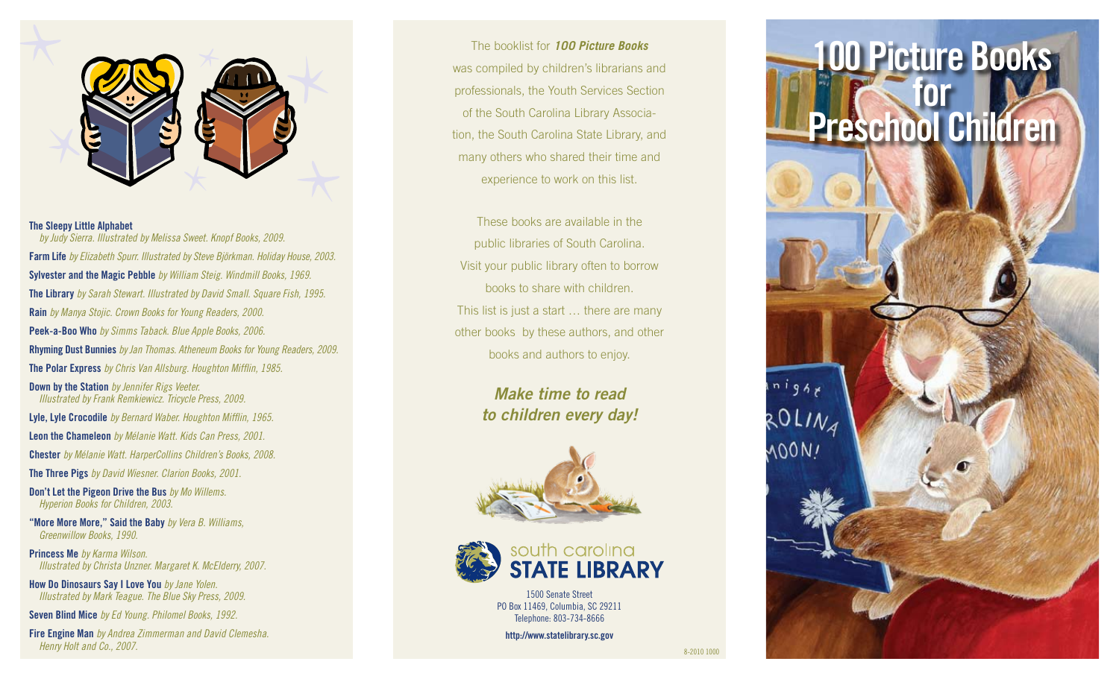

## **The Sleepy Little Alphabet**

*by Judy Sierra. Illustrated by Melissa Sweet. Knopf Books, 2009.* **Farm Life** *by Elizabeth Spurr. Illustrated by Steve Björkman. Holiday House, 2003.* **Sylvester and the Magic Pebble** *by William Steig. Windmill Books, 1969.* **The Library** *by Sarah Stewart. Illustrated by David Small. Square Fish, 1995.* **Rain** *by Manya Stojic. Crown Books for Young Readers, 2000.* **Peek-a-Boo Who** *by Simms Taback. Blue Apple Books, 2006.* **Rhyming Dust Bunnies** *by Jan Thomas. Atheneum Books for Young Readers, 2009.* **The Polar Express** *by Chris Van Allsburg. Houghton Mifflin, 1985.* **Down by the Station** *by Jennifer Rigs Veeter. Illustrated by Frank Remkiewicz. Tricycle Press, 2009.* **Lyle, Lyle Crocodile** *by Bernard Waber. Houghton Mifflin, 1965.* **Leon the Chameleon** *by Mélanie Watt. Kids Can Press, 2001.* **Chester** *by Mélanie Watt. HarperCollins Children's Books, 2008.* **The Three Pigs** *by David Wiesner. Clarion Books, 2001.*

**Don't Let the Pigeon Drive the Bus** *by Mo Willems. Hyperion Books for Children, 2003.*

**"More More More," Said the Baby** *by Vera B. Williams, Greenwillow Books, 1990.*

**Princess Me** *by Karma Wilson. Illustrated by Christa Unzner. Margaret K. McElderry, 2007.*

**How Do Dinosaurs Say I Love You** *by Jane Yolen. Illustrated by Mark Teague. The Blue Sky Press, 2009.*

**Seven Blind Mice** *by Ed Young. Philomel Books, 1992.*

**Fire Engine Man** *by Andrea Zimmerman and David Clemesha. Henry Holt and Co., 2007.* 8-2010 1000

## The booklist for *100 Picture Books* was compiled by children's librarians and professionals, the Youth Services Section of the South Carolina Library Association, the South Carolina State Library, and many others who shared their time and experience to work on this list.

These books are available in the public libraries of South Carolina. Visit your public library often to borrow books to share with children. This list is just a start … there are many other books by these authors, and other books and authors to enjoy.

> *Make time to read to children every day!*





1500 Senate Street PO Box 11469, Columbia, SC 29211 Telephone: 803-734-8666

**http://www.statelibrary.sc.gov**